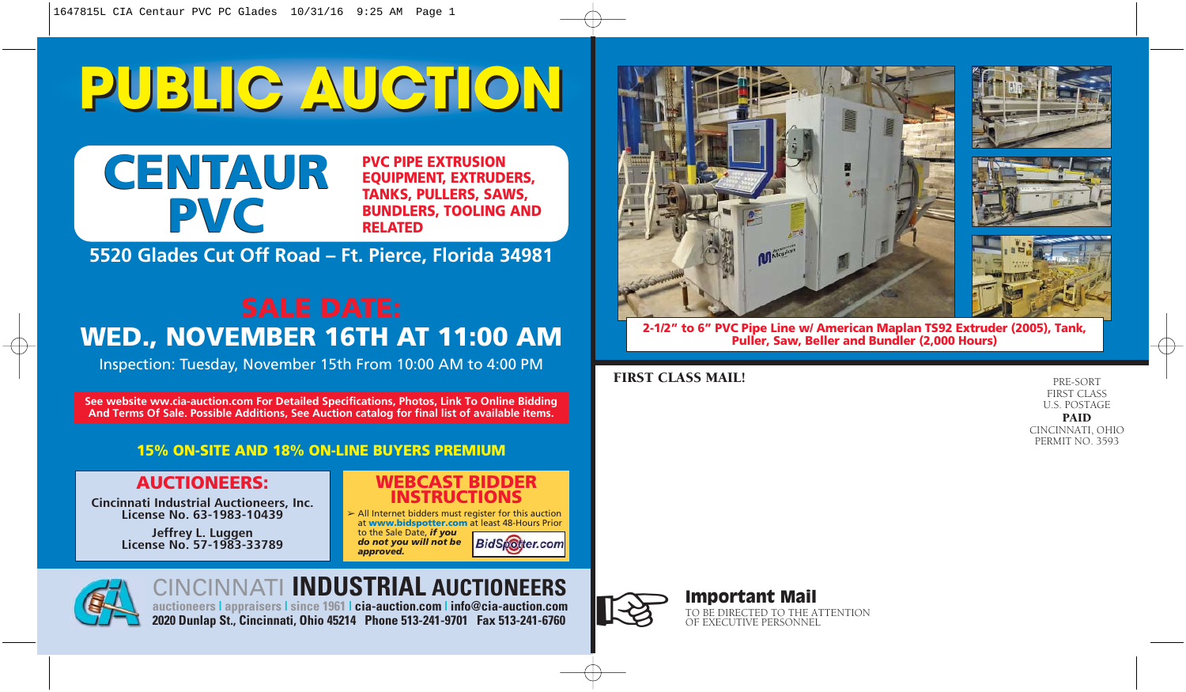# **PUBLIC AUCTION PUBLIC AUCTION**



**PVC PIPE EXTRUSION EQUIPMENT, EXTRUDERS, TANKS, PULLERS, SAWS, BUNDLERS, TOOLING AND RELATED**

**5520 Glades Cut Off Road – Ft. Pierce, Florida 34981**

# **WED., NOVEMBER 16TH AT 11:00 AM**

Inspection: Tuesday, November 15th From 10:00 AM to 4:00 PM

**See website ww.cia-auction.com For Detailed Specifications, Photos, Link To Online Bidding And Terms Of Sale. Possible Additions, See Auction catalog for final list of available items.**

### **15% ON-SITE AND 18% ON-LINE BUYERS PREMIUM**

### **AUCTIONEERS:**

*Cincinnati Industrial Auctioneers, Inc. License No. 63-1983-10439*

> *Jeffrey L. Luggen License No. 57-1983-33789*

### **WEBCAST BIDDER INSTRUCTIONS**

➢ All Internet bidders must register for this auction at **www.bidspotter.com** at least 48-Hours Prior to the Sale Date, *if you*

*do not you will not be* **BidSpotter.com** *approved.*



## CINCINNATI **INDUSTRIAL AUCTIONEERS**

**auctioneers | appraisers | since 1961 | cia-auction.com | info@cia-auction.com 2020 Dunlap St., Cincinnati, Ohio 45214 Phone 513-241-9701 Fax 513-241-6760**









**2-1/2" to 6" PVC Pipe Line w/ American Maplan TS92 Extruder (2005), Tank, Puller, Saw, Beller and Bundler (2,000 Hours)**

### FIRST CLASS MAIL!

PRE-SORT FIRST CLASS U.S. POSTAGE

### PAID

CINCINNATI, OHIO PERMIT NO. 3593



## Important Mail **Important Mail**<br>TO BE DIRECTED TO THE ATTENTION OF EXECUTIVE PERSONNEL